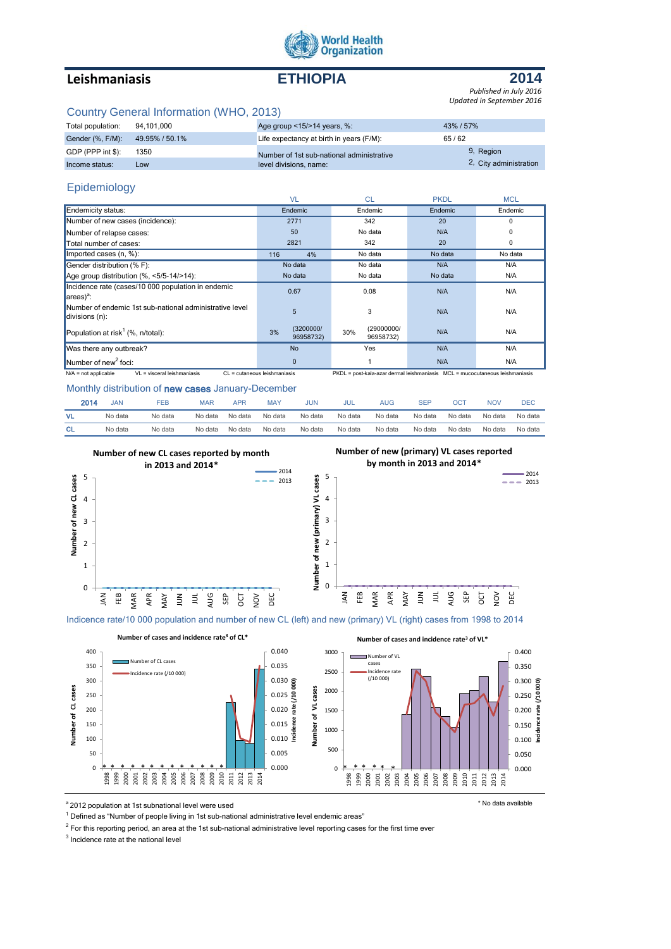

## **Leishmaniasis ETHIOPIA**



*Published in July 2016 Updated in September 2016*

### Country General Information (WHO, 2013)

| Total population:               | 94.101.000 | Age group $\leq$ 15/ $>$ 14 years, %:     | 43% / 57%              |
|---------------------------------|------------|-------------------------------------------|------------------------|
| Gender (%, F/M): 49.95% / 50.1% |            | Life expectancy at birth in years (F/M):  | 65/62                  |
| GDP (PPP int \$):               | 1350       | Number of 1st sub-national administrative | 9, Region              |
| Income status:                  | LOW        | level divisions, name:                    | 2, City administration |

### Epidemiology

|                                                                               | <b>VL</b>                    | <b>CL</b>                                                                    | <b>PKDL</b> | <b>MCL</b> |
|-------------------------------------------------------------------------------|------------------------------|------------------------------------------------------------------------------|-------------|------------|
| Endemicity status:                                                            | Endemic                      | Endemic                                                                      | Endemic     | Endemic    |
| Number of new cases (incidence):                                              | 2771                         | 342                                                                          | 20          | 0          |
| Number of relapse cases:                                                      | 50                           | No data                                                                      | N/A         | 0          |
| Total number of cases:                                                        | 2821                         | 342                                                                          | 20          | 0          |
| Imported cases $(n, %)$ :                                                     | 116<br>4%                    | No data                                                                      | No data     | No data    |
| Gender distribution (% F):                                                    | No data                      | No data                                                                      | N/A         | N/A        |
| Age group distribution $(\% \, <5/5-14/>14)$ :                                | No data                      | No data                                                                      | No data     | N/A        |
| Incidence rate (cases/10 000 population in endemic<br>$\ $ areas $)^a$ :      | 0.67                         | 0.08                                                                         | N/A         | N/A        |
| Number of endemic 1st sub-national administrative level<br>$ldivisions (n)$ : | 5                            | 3                                                                            | N/A         | N/A        |
| Population at risk <sup>1</sup> (%, $n$ /total):                              | (3200000/<br>3%<br>96958732) | (29000000/<br>30%<br>96958732)                                               | N/A         | N/A        |
| Was there any outbreak?                                                       | <b>No</b>                    | Yes                                                                          | N/A         | N/A        |
| Number of new <sup>2</sup> foci:                                              | $\mathbf{0}$                 |                                                                              | N/A         | N/A        |
| VL = visceral leishmaniasis<br>$N/A$ = not applicable                         | CL = cutaneous leishmaniasis | PKDL = post-kala-azar dermal leishmaniasis MCL = mucocutaneous leishmaniasis |             |            |

#### Monthly distribution of new cases January-December

| 2014      | JAN     | FEB     | MAP     | APR     | MAY     | JUN     | JUL     | AUG     | SEF     | OC.     | <b>NOV</b> | DEC     |
|-----------|---------|---------|---------|---------|---------|---------|---------|---------|---------|---------|------------|---------|
| <b>VL</b> | No data | No data | No data | No data | No data | No data | No data | No data | No data | No data | No data    | No data |
| <b>CL</b> | No data | No data | No data | No data | No data | No data | No data | No data | No data | No data | No data    | No data |



Indicence rate/10 000 population and number of new CL (left) and new (primary) VL (right) cases from 1998 to 2014

**Number of cases and incidence rate<sup>3</sup> of CL\* Number of cases and incidence rate<sup>3</sup> of VL\*** 400 0.040 3000 0.400 Number of VI mber of CL cases cases 0.035 350 0.350 2500 idence rate (/10 000) Incidence rate (/10 000)  $0.300$   $\frac{2}{9}$ 300 0.030 **Incidence rate (/10 000) Incidence rate (/10 000)** Number of CL cases Number of VL cases **Number of CL cases Number of VL cases** 2000 250 0.250  $\overline{a}$ 0.025  $0.020$   $\frac{1}{6}$  $0.200$   $\frac{9}{6}$ 200 1500 e3 n<sub>C</sub>e 150 0.015 0.150 1000  $0.010$   $\frac{5}{5}$ ī 100 0.100 500 50 0.005 0.050 \* \* \* \* \* \* \* \* \* \* \* \* 1998 1999 2000 2001 2002 2003 2004 2005 2006 2007 2008 2009 2010 2011 2012 2013 2014 \* \* \* \* \* \* \* \* \* \* \* \* \* \* \* \* \* \* \* $\Omega$ 0.000  $\mathbf 0$ 0.000 ee<br>1999<br>199 2000 2001 2002 2003 2004 2005 2006 2007 2008 2009 2010 2011 2012 2013 2014

a<sup>2</sup> 2012 population at 1st subnational level were used the state of the state of the state available

<sup>1</sup> Defined as "Number of people living in 1st sub-national administrative level endemic areas"

 $2$  For this reporting period, an area at the 1st sub-national administrative level reporting cases for the first time ever

<sup>3</sup> Incidence rate at the national level